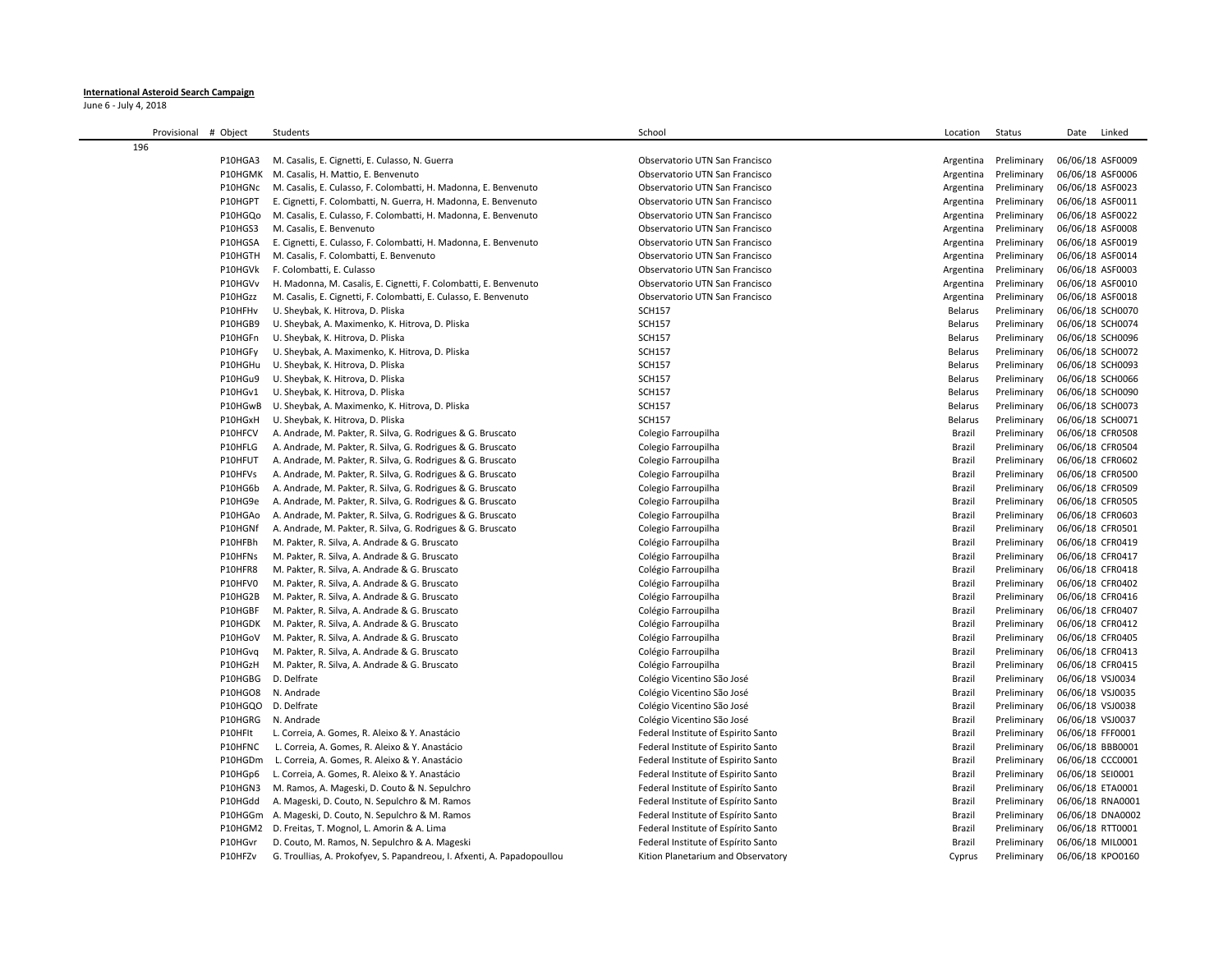## **International Asteroid Search Campaign**

June 6 - July 4, 2018

| Provisional # Object | Students                                                                | School                              | Location       | Status      | Date<br>Linked   |
|----------------------|-------------------------------------------------------------------------|-------------------------------------|----------------|-------------|------------------|
| 196                  |                                                                         |                                     |                |             |                  |
| P10HGA3              | M. Casalis, E. Cignetti, E. Culasso, N. Guerra                          | Observatorio UTN San Francisco      | Argentina      | Preliminary | 06/06/18 ASF0009 |
| P10HGMK              | M. Casalis, H. Mattio, E. Benvenuto                                     | Observatorio UTN San Francisco      | Argentina      | Preliminary | 06/06/18 ASF0006 |
| P10HGNc              | M. Casalis, E. Culasso, F. Colombatti, H. Madonna, E. Benvenuto         | Observatorio UTN San Francisco      | Argentina      | Preliminary | 06/06/18 ASF0023 |
| P10HGPT              | E. Cignetti, F. Colombatti, N. Guerra, H. Madonna, E. Benvenuto         | Observatorio UTN San Francisco      | Argentina      | Preliminary | 06/06/18 ASF0011 |
| P10HGQo              | M. Casalis, E. Culasso, F. Colombatti, H. Madonna, E. Benvenuto         | Observatorio UTN San Francisco      | Argentina      | Preliminary | 06/06/18 ASF0022 |
| P10HGS3              | M. Casalis, E. Benvenuto                                                | Observatorio UTN San Francisco      | Argentina      | Preliminary | 06/06/18 ASF0008 |
| P10HGSA              | E. Cignetti, E. Culasso, F. Colombatti, H. Madonna, E. Benvenuto        | Observatorio UTN San Francisco      | Argentina      | Preliminary | 06/06/18 ASF0019 |
| P10HGTH              | M. Casalis, F. Colombatti, E. Benvenuto                                 | Observatorio UTN San Francisco      | Argentina      | Preliminary | 06/06/18 ASF0014 |
| P10HGVk              | F. Colombatti, E. Culasso                                               | Observatorio UTN San Francisco      | Argentina      | Preliminary | 06/06/18 ASF0003 |
| P10HGVv              | H. Madonna, M. Casalis, E. Cignetti, F. Colombatti, E. Benvenuto        | Observatorio UTN San Francisco      | Argentina      | Preliminary | 06/06/18 ASF0010 |
| P10HGzz              | M. Casalis, E. Cignetti, F. Colombatti, E. Culasso, E. Benvenuto        | Observatorio UTN San Francisco      | Argentina      | Preliminary | 06/06/18 ASF0018 |
| P10HFHv              | U. Sheybak, K. Hitrova, D. Pliska                                       | <b>SCH157</b>                       | Belarus        | Preliminary | 06/06/18 SCH0070 |
| P10HGB9              | U. Sheybak, A. Maximenko, K. Hitrova, D. Pliska                         | <b>SCH157</b>                       | Belarus        | Preliminary | 06/06/18 SCH0074 |
| P10HGFn              | U. Sheybak, K. Hitrova, D. Pliska                                       | <b>SCH157</b>                       | Belarus        | Preliminary | 06/06/18 SCH0096 |
| P10HGFy              | U. Sheybak, A. Maximenko, K. Hitrova, D. Pliska                         | <b>SCH157</b>                       | Belarus        | Preliminary | 06/06/18 SCH0072 |
| P10HGHu              | U. Sheybak, K. Hitrova, D. Pliska                                       | <b>SCH157</b>                       | Belarus        | Preliminary | 06/06/18 SCH0093 |
| P10HGu9              | U. Sheybak, K. Hitrova, D. Pliska                                       | <b>SCH157</b>                       | <b>Belarus</b> | Preliminary | 06/06/18 SCH0066 |
| P10HGv1              | U. Sheybak, K. Hitrova, D. Pliska                                       | <b>SCH157</b>                       | Belarus        | Preliminary | 06/06/18 SCH0090 |
| P10HGwB              | U. Sheybak, A. Maximenko, K. Hitrova, D. Pliska                         | <b>SCH157</b>                       | Belarus        | Preliminary | 06/06/18 SCH0073 |
| P10HGxH              | U. Sheybak, K. Hitrova, D. Pliska                                       | <b>SCH157</b>                       | Belarus        | Preliminary | 06/06/18 SCH0071 |
| P10HFCV              | A. Andrade, M. Pakter, R. Silva, G. Rodrigues & G. Bruscato             | Colegio Farroupilha                 | Brazil         | Preliminary | 06/06/18 CFR0508 |
| P10HFLG              | A. Andrade, M. Pakter, R. Silva, G. Rodrigues & G. Bruscato             | Colegio Farroupilha                 | Brazil         | Preliminary | 06/06/18 CFR0504 |
| P10HFUT              | A. Andrade, M. Pakter, R. Silva, G. Rodrigues & G. Bruscato             | Colegio Farroupilha                 | Brazil         | Preliminary | 06/06/18 CFR0602 |
| P10HFVs              | A. Andrade, M. Pakter, R. Silva, G. Rodrigues & G. Bruscato             | Colegio Farroupilha                 | <b>Brazil</b>  | Preliminary | 06/06/18 CFR0500 |
| P10HG6b              | A. Andrade, M. Pakter, R. Silva, G. Rodrigues & G. Bruscato             | Colegio Farroupilha                 | Brazil         | Preliminary | 06/06/18 CFR0509 |
| P10HG9e              | A. Andrade, M. Pakter, R. Silva, G. Rodrigues & G. Bruscato             | Colegio Farroupilha                 | Brazil         | Preliminary | 06/06/18 CFR0505 |
| P10HGAo              | A. Andrade, M. Pakter, R. Silva, G. Rodrigues & G. Bruscato             | Colegio Farroupilha                 | <b>Brazil</b>  | Preliminary | 06/06/18 CFR0603 |
| P10HGNf              | A. Andrade, M. Pakter, R. Silva, G. Rodrigues & G. Bruscato             | Colegio Farroupilha                 | Brazil         | Preliminary | 06/06/18 CFR0501 |
| P10HFBh              | M. Pakter, R. Silva, A. Andrade & G. Bruscato                           | Colégio Farroupilha                 | <b>Brazil</b>  | Preliminary | 06/06/18 CFR0419 |
| P10HFNs              | M. Pakter, R. Silva, A. Andrade & G. Bruscato                           | Colégio Farroupilha                 | Brazil         | Preliminary | 06/06/18 CFR0417 |
| P10HFR8              | M. Pakter, R. Silva, A. Andrade & G. Bruscato                           | Colégio Farroupilha                 | Brazil         | Preliminary | 06/06/18 CFR0418 |
| P10HFV0              | M. Pakter, R. Silva, A. Andrade & G. Bruscato                           | Colégio Farroupilha                 | Brazil         | Preliminary | 06/06/18 CFR0402 |
| P10HG2B              | M. Pakter, R. Silva, A. Andrade & G. Bruscato                           | Colégio Farroupilha                 | <b>Brazil</b>  | Preliminary | 06/06/18 CFR0416 |
| P10HGBF              | M. Pakter, R. Silva, A. Andrade & G. Bruscato                           | Colégio Farroupilha                 | Brazil         | Preliminary | 06/06/18 CFR0407 |
| P10HGDK              | M. Pakter, R. Silva, A. Andrade & G. Bruscato                           | Colégio Farroupilha                 | Brazil         | Preliminary | 06/06/18 CFR0412 |
| P10HGoV              | M. Pakter, R. Silva, A. Andrade & G. Bruscato                           | Colégio Farroupilha                 | Brazil         | Preliminary | 06/06/18 CFR0405 |
| P10HGvq              | M. Pakter, R. Silva, A. Andrade & G. Bruscato                           | Colégio Farroupilha                 | <b>Brazil</b>  | Preliminary | 06/06/18 CFR0413 |
| P10HGzH              | M. Pakter, R. Silva, A. Andrade & G. Bruscato                           | Colégio Farroupilha                 | <b>Brazil</b>  | Preliminary | 06/06/18 CFR0415 |
| P10HGBG              | D. Delfrate                                                             | Colégio Vicentino São José          | Brazil         | Preliminary | 06/06/18 VSJ0034 |
| <b>P10HGO8</b>       | N. Andrade                                                              | Colégio Vicentino São José          | Brazil         | Preliminary | 06/06/18 VSJ0035 |
| P10HGQO              | D. Delfrate                                                             | Colégio Vicentino São José          | Brazil         | Preliminary | 06/06/18 VSJ0038 |
| P10HGRG              | N. Andrade                                                              | Colégio Vicentino São José          | <b>Brazil</b>  | Preliminary | 06/06/18 VSJ0037 |
| P10HFIt              | L. Correia, A. Gomes, R. Aleixo & Y. Anastácio                          | Federal Institute of Espirito Santo | Brazil         | Preliminary | 06/06/18 FFF0001 |
| P10HFNC              | L. Correia, A. Gomes, R. Aleixo & Y. Anastácio                          | Federal Institute of Espirito Santo | Brazil         | Preliminary | 06/06/18 BBB0001 |
| P10HGDm              | L. Correia, A. Gomes, R. Aleixo & Y. Anastácio                          | Federal Institute of Espirito Santo | Brazil         | Preliminary | 06/06/18 CCC0001 |
| P10HGp6              | L. Correia, A. Gomes, R. Aleixo & Y. Anastácio                          | Federal Institute of Espirito Santo | <b>Brazil</b>  | Preliminary | 06/06/18 SEI0001 |
| P10HGN3              | M. Ramos, A. Mageski, D. Couto & N. Sepulchro                           | Federal Institute of Espiríto Santo | <b>Brazil</b>  | Preliminary | 06/06/18 ETA0001 |
| P10HGdd              | A. Mageski, D. Couto, N. Sepulchro & M. Ramos                           | Federal Institute of Espírito Santo | Brazil         | Preliminary | 06/06/18 RNA0001 |
| P10HGGm              | A. Mageski, D. Couto, N. Sepulchro & M. Ramos                           | Federal Institute of Espírito Santo | Brazil         | Preliminary | 06/06/18 DNA0002 |
| P10HGM2              | D. Freitas, T. Mognol, L. Amorin & A. Lima                              | Federal Institute of Espírito Santo | <b>Brazil</b>  | Preliminary | 06/06/18 RTT0001 |
| P10HGvr              | D. Couto, M. Ramos, N. Sepulchro & A. Mageski                           | Federal Institute of Espírito Santo | <b>Brazil</b>  | Preliminary | 06/06/18 MIL0001 |
| P10HFZv              | G. Troullias, A. Prokofyev, S. Papandreou, I. Afxenti, A. Papadopoullou | Kition Planetarium and Observatory  | Cyprus         | Preliminary | 06/06/18 KPO0160 |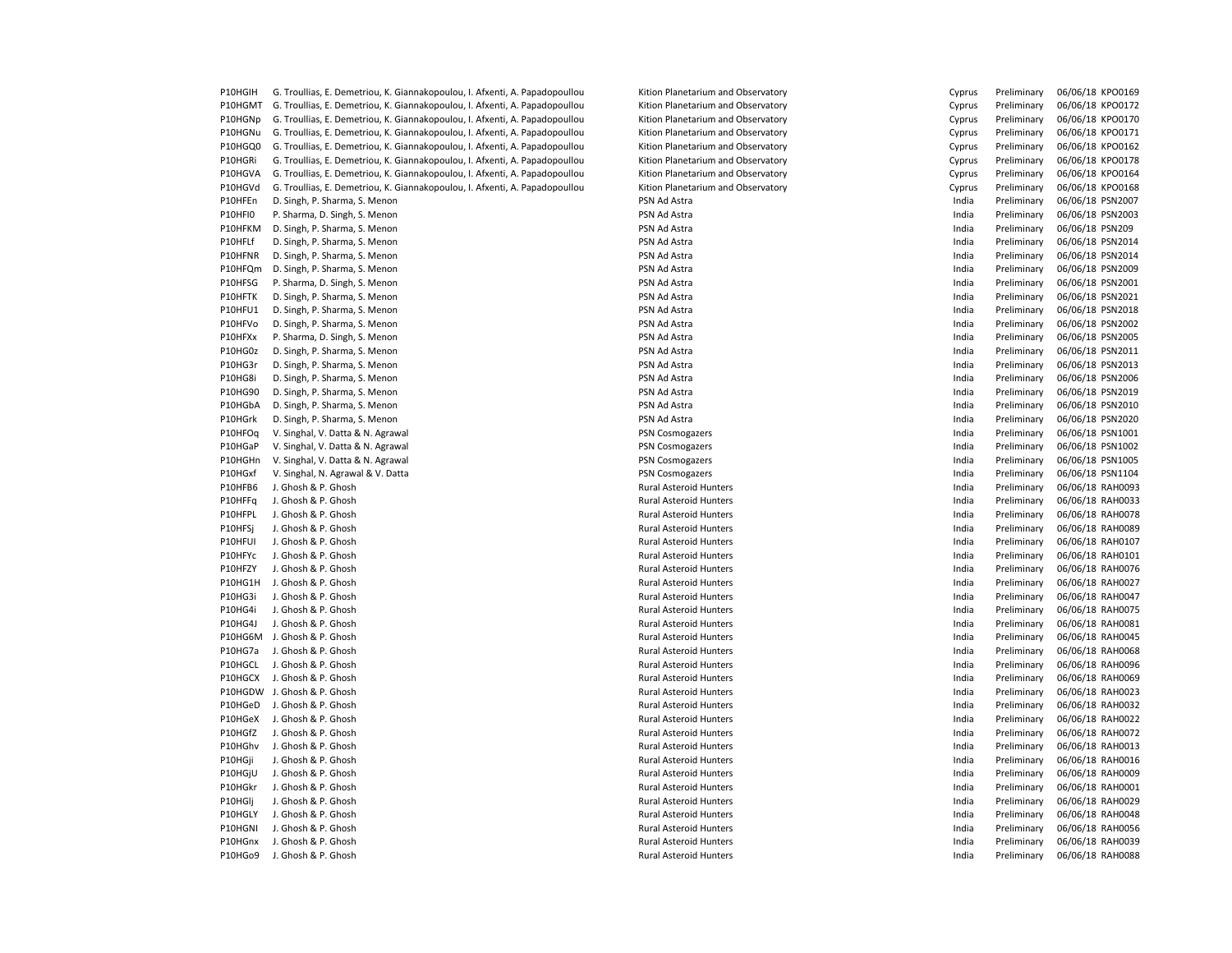| P10HGIH | G. Troullias, E. Demetriou, K. Giannakopoulou, I. Afxenti, A. Papadopoullou | Kition Planetarium and Observatory | Cyprus | Preliminary                | 06/06/18 KPO0169                     |
|---------|-----------------------------------------------------------------------------|------------------------------------|--------|----------------------------|--------------------------------------|
| P10HGMT | G. Troullias, E. Demetriou, K. Giannakopoulou, I. Afxenti, A. Papadopoullou | Kition Planetarium and Observatory | Cyprus | Preliminary                | 06/06/18 KPO0172                     |
| P10HGNp | G. Troullias, E. Demetriou, K. Giannakopoulou, I. Afxenti, A. Papadopoullou | Kition Planetarium and Observatory | Cyprus | Preliminary                | 06/06/18 KPO0170                     |
| P10HGNu | G. Troullias, E. Demetriou, K. Giannakopoulou, I. Afxenti, A. Papadopoullou | Kition Planetarium and Observatory | Cyprus | Preliminary                | 06/06/18 KPO0171                     |
| P10HGQ0 | G. Troullias, E. Demetriou, K. Giannakopoulou, I. Afxenti, A. Papadopoullou | Kition Planetarium and Observatory | Cyprus | Preliminary                | 06/06/18 KPO0162                     |
| P10HGRi | G. Troullias, E. Demetriou, K. Giannakopoulou, I. Afxenti, A. Papadopoullou | Kition Planetarium and Observatory | Cyprus | Preliminary                | 06/06/18 KPO0178                     |
| P10HGVA | G. Troullias, E. Demetriou, K. Giannakopoulou, I. Afxenti, A. Papadopoullou | Kition Planetarium and Observatory | Cyprus | Preliminary                | 06/06/18 KPO0164                     |
| P10HGVd | G. Troullias, E. Demetriou, K. Giannakopoulou, I. Afxenti, A. Papadopoullou | Kition Planetarium and Observatory | Cyprus | Preliminary                | 06/06/18 KPO0168                     |
| P10HFEn | D. Singh, P. Sharma, S. Menon                                               | PSN Ad Astra                       | India  | Preliminary                | 06/06/18 PSN2007                     |
| P10HFI0 | P. Sharma, D. Singh, S. Menon                                               | PSN Ad Astra                       | India  | Preliminary                | 06/06/18 PSN2003                     |
| P10HFKM | D. Singh, P. Sharma, S. Menon                                               | PSN Ad Astra                       | India  | Preliminary                | 06/06/18 PSN209                      |
| P10HFLf | D. Singh, P. Sharma, S. Menon                                               | PSN Ad Astra                       | India  | Preliminary                | 06/06/18 PSN2014                     |
| P10HFNR | D. Singh, P. Sharma, S. Menon                                               | PSN Ad Astra                       | India  | Preliminary                | 06/06/18 PSN2014                     |
| P10HFQm | D. Singh, P. Sharma, S. Menon                                               | PSN Ad Astra                       | India  | Preliminary                | 06/06/18 PSN2009                     |
| P10HFSG | P. Sharma, D. Singh, S. Menon                                               | PSN Ad Astra                       | India  | Preliminary                | 06/06/18 PSN2001                     |
| P10HFTK | D. Singh, P. Sharma, S. Menon                                               | PSN Ad Astra                       | India  | Preliminary                | 06/06/18 PSN2021                     |
| P10HFU1 | D. Singh, P. Sharma, S. Menon                                               | PSN Ad Astra                       | India  | Preliminary                | 06/06/18 PSN2018                     |
| P10HFVo | D. Singh, P. Sharma, S. Menon                                               | PSN Ad Astra                       | India  | Preliminary                | 06/06/18 PSN2002                     |
| P10HFXx | P. Sharma, D. Singh, S. Menon                                               | PSN Ad Astra                       | India  | Preliminary                | 06/06/18 PSN2005                     |
| P10HG0z | D. Singh, P. Sharma, S. Menon                                               | PSN Ad Astra                       | India  | Preliminary                | 06/06/18 PSN2011                     |
| P10HG3r | D. Singh, P. Sharma, S. Menon                                               | PSN Ad Astra                       | India  | Preliminary                | 06/06/18 PSN2013                     |
| P10HG8i | D. Singh, P. Sharma, S. Menon                                               | PSN Ad Astra                       | India  | Preliminary                | 06/06/18 PSN2006                     |
| P10HG90 | D. Singh, P. Sharma, S. Menon                                               | PSN Ad Astra                       | India  |                            | 06/06/18 PSN2019                     |
| P10HGbA |                                                                             | PSN Ad Astra                       | India  | Preliminary                |                                      |
| P10HGrk | D. Singh, P. Sharma, S. Menon<br>D. Singh, P. Sharma, S. Menon              | PSN Ad Astra                       | India  | Preliminary<br>Preliminary | 06/06/18 PSN2010<br>06/06/18 PSN2020 |
|         |                                                                             |                                    |        |                            |                                      |
| P10HFOq | V. Singhal, V. Datta & N. Agrawal                                           | PSN Cosmogazers                    | India  | Preliminary                | 06/06/18 PSN1001                     |
| P10HGaP | V. Singhal, V. Datta & N. Agrawal                                           | <b>PSN Cosmogazers</b>             | India  | Preliminary                | 06/06/18 PSN1002                     |
| P10HGHn | V. Singhal, V. Datta & N. Agrawal                                           | <b>PSN Cosmogazers</b>             | India  | Preliminary                | 06/06/18 PSN1005                     |
| P10HGxf | V. Singhal, N. Agrawal & V. Datta                                           | <b>PSN Cosmogazers</b>             | India  | Preliminary                | 06/06/18 PSN1104                     |
| P10HFB6 | J. Ghosh & P. Ghosh                                                         | <b>Rural Asteroid Hunters</b>      | India  | Preliminary                | 06/06/18 RAH0093                     |
| P10HFFq | J. Ghosh & P. Ghosh                                                         | Rural Asteroid Hunters             | India  | Preliminary                | 06/06/18 RAH0033                     |
| P10HFPL | J. Ghosh & P. Ghosh                                                         | Rural Asteroid Hunters             | India  | Preliminary                | 06/06/18 RAH0078                     |
| P10HFSj | J. Ghosh & P. Ghosh                                                         | Rural Asteroid Hunters             | India  | Preliminary                | 06/06/18 RAH0089                     |
| P10HFUI | J. Ghosh & P. Ghosh                                                         | Rural Asteroid Hunters             | India  | Preliminary                | 06/06/18 RAH0107                     |
| P10HFYc | J. Ghosh & P. Ghosh                                                         | Rural Asteroid Hunters             | India  | Preliminary                | 06/06/18 RAH0101                     |
| P10HFZY | J. Ghosh & P. Ghosh                                                         | Rural Asteroid Hunters             | India  | Preliminary                | 06/06/18 RAH0076                     |
| P10HG1H | J. Ghosh & P. Ghosh                                                         | Rural Asteroid Hunters             | India  | Preliminary                | 06/06/18 RAH0027                     |
| P10HG3i | J. Ghosh & P. Ghosh                                                         | Rural Asteroid Hunters             | India  | Preliminary                | 06/06/18 RAH0047                     |
| P10HG4i | J. Ghosh & P. Ghosh                                                         | Rural Asteroid Hunters             | India  | Preliminary                | 06/06/18 RAH0075                     |
| P10HG4J | J. Ghosh & P. Ghosh                                                         | Rural Asteroid Hunters             | India  | Preliminary                | 06/06/18 RAH0081                     |
| P10HG6M | J. Ghosh & P. Ghosh                                                         | <b>Rural Asteroid Hunters</b>      | India  | Preliminary                | 06/06/18 RAH0045                     |
| P10HG7a | J. Ghosh & P. Ghosh                                                         | <b>Rural Asteroid Hunters</b>      | India  | Preliminary                | 06/06/18 RAH0068                     |
| P10HGCL | J. Ghosh & P. Ghosh                                                         | Rural Asteroid Hunters             | India  | Preliminary                | 06/06/18 RAH0096                     |
| P10HGCX | J. Ghosh & P. Ghosh                                                         | <b>Rural Asteroid Hunters</b>      | India  | Preliminary                | 06/06/18 RAH0069                     |
|         | P10HGDW J. Ghosh & P. Ghosh                                                 | <b>Rural Asteroid Hunters</b>      | India  | Preliminary                | 06/06/18 RAH0023                     |
| P10HGeD | J. Ghosh & P. Ghosh                                                         | Rural Asteroid Hunters             | India  | Preliminary                | 06/06/18 RAH0032                     |
| P10HGeX | J. Ghosh & P. Ghosh                                                         | Rural Asteroid Hunters             | India  | Preliminary                | 06/06/18 RAH0022                     |
| P10HGfZ | J. Ghosh & P. Ghosh                                                         | Rural Asteroid Hunters             | India  | Preliminary                | 06/06/18 RAH0072                     |
| P10HGhv | J. Ghosh & P. Ghosh                                                         | Rural Asteroid Hunters             | India  | Preliminary                | 06/06/18 RAH0013                     |
| P10HGji | J. Ghosh & P. Ghosh                                                         | Rural Asteroid Hunters             | India  | Preliminary                | 06/06/18 RAH0016                     |
| P10HGjU | J. Ghosh & P. Ghosh                                                         | Rural Asteroid Hunters             | India  | Preliminary                | 06/06/18 RAH0009                     |
| P10HGkr | J. Ghosh & P. Ghosh                                                         | Rural Asteroid Hunters             | India  | Preliminary                | 06/06/18 RAH0001                     |
| P10HGlj | J. Ghosh & P. Ghosh                                                         | <b>Rural Asteroid Hunters</b>      | India  | Preliminary                | 06/06/18 RAH0029                     |
| P10HGLY | J. Ghosh & P. Ghosh                                                         | <b>Rural Asteroid Hunters</b>      | India  | Preliminary                | 06/06/18 RAH0048                     |
| P10HGNI | J. Ghosh & P. Ghosh                                                         | Rural Asteroid Hunters             | India  | Preliminary                | 06/06/18 RAH0056                     |
| P10HGnx | J. Ghosh & P. Ghosh                                                         | <b>Rural Asteroid Hunters</b>      | India  | Preliminary                | 06/06/18 RAH0039                     |
| P10HGo9 | J. Ghosh & P. Ghosh                                                         | Rural Asteroid Hunters             | India  | Preliminary                | 06/06/18 RAH0088                     |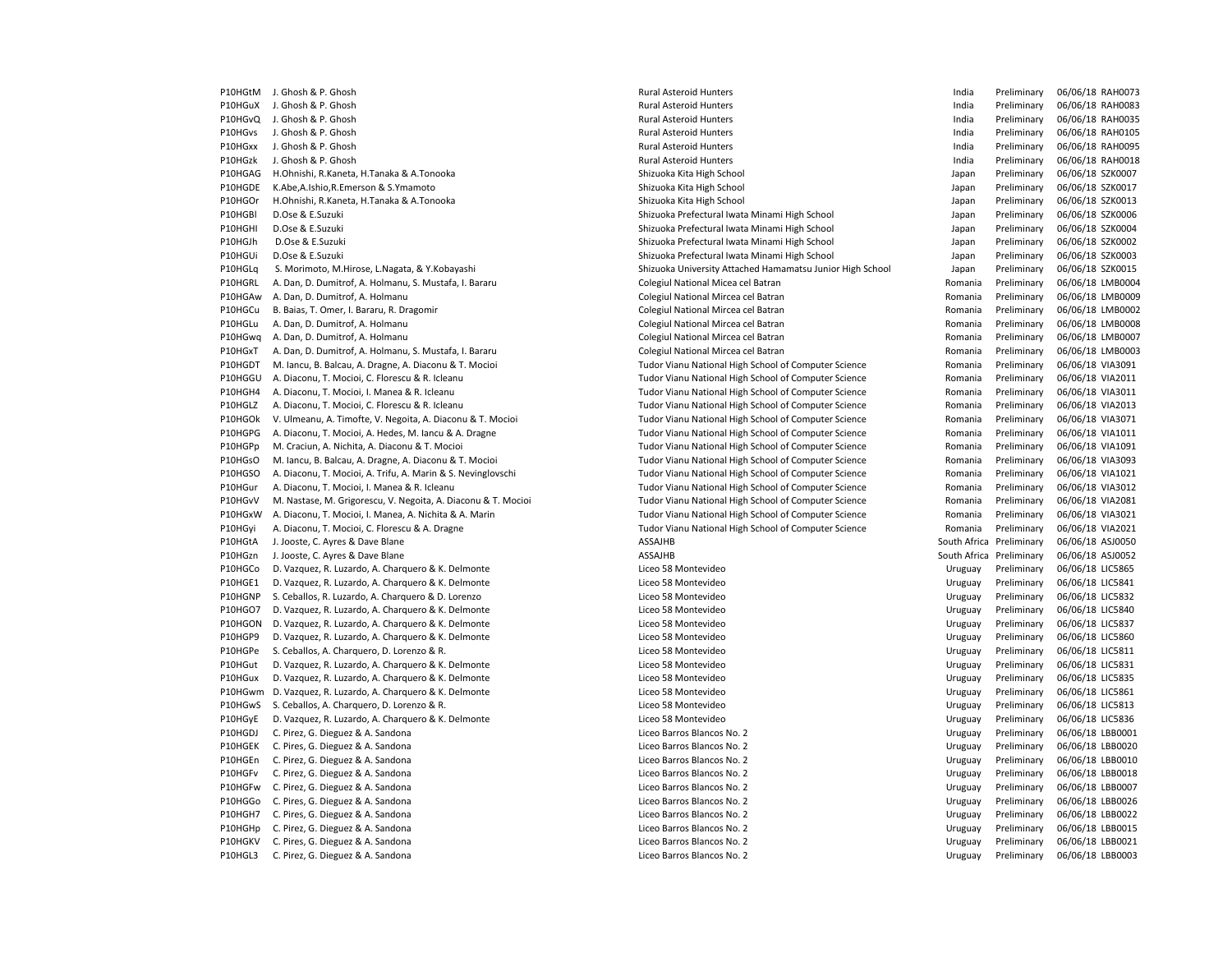P10HGtM J. Ghosh & P. Ghosh Chosh Chosh Chosh Chosh Rural Asteroid Hunters Pural Asteroid Hunters and the Chosh Rural Asteroid Hunters and the Chosh Rural Asteroid Hunters and the Chosh Rural Asteroid Hunters and the Chosh P10HGuX J.Ghosh & P.Ghosh North Rural Asteroid Hunters Channel Asteroid Hunters and Muslem and the Channel Preliminary 06/06/18 RAH0083 P10HGvQ J. Ghosh & P. Ghosh North Rural Asteroid Hunters And Asteroid Hunters and Asteroid Hunters and Asteroid Hunters and Asteroid Hunters and Asteroid Hunters and Asteroid Hunters and Asteroid Hunters and Asteroid Hunte P10HGvs J. Ghosh & P. Ghosh North Rural Asteroid Hunters and Munders and Munders and Munders and Munders and Munders and Munders and Munders and Munders and Munders and Munders and Munders and Munders and Munders and Munde P10HGxx J. Ghosh & P. Ghosh North Rural Asteroid Hunters Changes and Changes and Changes and Changes and Reliminary 06/06/18 RAH0095 P10HGzk J. Ghosh & P. Ghosh North Rural Asteroid Hunters And Asteroid Hunters and Asteroid Hunters and Asteroid Hunters and Asteroid Hunters and Asteroid Hunters and Asteroid Hunters and Asteroid Hunters and Asteroid Hunte P10HGAG H.Ohnishi, R.Kaneta, H.Tanaka & A.Tonooka Shizuoka Shizuoka Kita High School Japan Preliminary 06/06/18 SZK0007 P10HGDE K.Abe,A.Ishio,R.Emerson & S.Ymamoto Shizuoka Shizuoka Kita High School Shizuoka Kita High School Japan Preliminary 06/06/18 SZK0017 P10HGOr H.Ohnishi, R.Kaneta, H.Tanaka & A.Tonooka Shizuoka Shizuoka Kita High School Japan Preliminary 06/06/18 SZK0013 P10HGBl D.Ose & E.Suzuki Shizuoka Prefectural Iwata Minami High School Japan Preliminary 06/06/18 SZK0006 P10HGHI D.Ose & E.Suzuki Shizuoka Prefectural Iwata Minami High School Japan Preliminary 06/06/18 SZK0004 P10HGJh D.Ose & E.Suzuki Shizuoka Prefectural Iwata Minami High School Japan Preliminary 06/06/18 SZK0002 P10HGUi D.Ose & E.Suzuki Shizuoka Prefectural Iwata Minami High School Japan Preliminary 06/06/18 SZK0003 P10HGLq S. Morimoto, M.Hirose, L.Nagata, & Y.Kobayashi Shizuoka University Attached Hamamatsu Junior High School Japan Preliminary 06/06/18 SZK0015 P10HGRL A. Dan, D. Dumitrof, A. Holmanu, S. Mustafa, I. Bararu Colegiul National Micea cel Batran Colegiul National Micea cel Batran Romania Preliminary 06/06/18 LMB0004 P10HGAw A. Dan, D. Dumitrof, A. Holmanu Colegiul National Mircea cel Batran Romania Preliminary 06/06/18 LMB0009 P10HGCu B. Baias, T. Omer, I. Bararu, R. Dragomir Colegiul National Mircea cel Batran Romania Preliminary 06/06/18 LMB0002 P10HGLu A. Dan, D. Dumitrof, A. Holmanu Colegiul National Mircea cel Batran Romania Preliminary 06/06/18 LMB0008 P10HGwq A. Dan, D. Dumitrof, A. Holmanu Colegiul National Mircea cel Batran Romania Preliminary 06/06/18 LMB0007 P10HGxT A. Dan, D. Dumitrof, A. Holmanu, S. Mustafa, I. Bararu Colegiul National Mircea cel Batran Colegiul National Mircea cel Batran Romania Preliminary 06/06/18 LMB0003 P10HGDT M. Iancu, B. Balcau, A. Dragne, A. Diaconu & T. Mocioi Tudor Vianu National High School of Computer Science Romania Preliminary 06/06/18 VIA3091 P10HGGU A. Diaconu, T. Mocioi, C. Florescu & R. Icleanu Tudor Vianu National High School of Computer Science Science Romania Preliminary 06/06/18 VIA2011 P10HGH4 A. Diaconu, T. Mocioi, I. Manea & R. Icleanu Tureanu Tudor Vianu National High School of Computer Science Romania Preliminary 06/06/18 VIA3011 P10HGLZ A. Diaconu, T. Mocioi, C. Florescu & R. Icleanu Turescu and Tudor Vianu National High School of Computer Science Romania Preliminary 06/06/18 VIA2013 P10HGOk V. Ulmeanu, A. Timofte, V. Negoita, A. Diaconu & T. Mocioi Tudor Vianu National High School of Computer Science Romania Preliminary 06/06/18 VIA3071 P10HGPG A. Diaconu, T. Mocioi, A. Hedes, M. Iancu & A. Dragne Tudor Vianu National High School of Computer Science Romania Preliminary 06/06/18 VIA1011 P10HGPp M. Craciun, A. Nichita, A. Diaconu & T. Mocioi entrantional Tudor Vianu National High School of Computer Science Romania Preliminary 06/06/18 VIA1091 P10HGsO M. Iancu, B. Balcau, A. Dragne, A. Diaconu & T. Mocioi Tudor Vianu National High School of Computer Science Romania Preliminary 06/06/18 VIA3093 P10HGSO A. Diaconu, T. Mocioi, A. Trifu, A. Marin & S. Nevinglovschi Tudor Vianu National High School of Computer Science Romania Preliminary 06/06/18 VIA1021 P10HGur A. Diaconu, T. Mocioi, I. Manea & R. Icleanu Tudor Vianu National High Achool of Computer Science Romania Preliminary 06/06/18 VIA3012 P10HGvV M. Nastase, M. Grigorescu, V. Negoita, A. Diaconu & T. Mocioi Tudor Vianu National High School of Computer Science Romania Preliminary 06/06/18 VIA2081 P10HGxW A. Diaconu, T. Mocioi, I. Manea, A. Nichita & A. Marin Tubor Vianu National High School of Computer Science Romania Preliminary 06/06/18 VIA3021 P10HGyi A. Diaconu, T. Mocioi, C. Florescu & A. Dragne Tudor Vianu National High School of Computer Science Romania Preliminary 06/06/18 VIA2021 P10HGtA J. Jooste, C. Ayres & Dave Blane ASSAG ASJ0050 CONTENT ASSAJHB South Africa Preliminary 06/06/18 ASJ0050 P10HGzn J. Jooste, C. Ayres & Dave Blane ASSAG ASJ0052 (CALC ASSAJHB ASSAJHB South Africa Preliminary 06/06/18 ASJ0052 P10HGCo D. Vazquez, R. Luzardo, A. Charquero & K. Delmonte Liceo 58 Montevideo Liceo 58 Montevideo Liceo 58 Montevideo Liceo 58 Montevideo Liceo 58 Montevideo Liceo 58 Montevideo Liceo 58 Montevideo Liceo 58 Montevideo Lic P10HGE1 D. Vazquez, R. Luzardo, A. Charquero & K. Delmonte Liceo 58 Montevideo Liceo 58 Montevideo Liceo 58 Montevideo Liceo 58 Montevideo Liceo 58 Montevideo Liceo 58 Montevideo Liceo 58 Montevideo Liceo 58 Montevideo Lic P10HGNP S. Ceballos, R. Luzardo, A. Charquero & D. Lorenzo Liceo 58 Montevideo Liceo 58 Montevideo Liceo 58 Montevideo Liceo 58 Montevideo Liceo 58 Montevideo Liceo 58 Montevideo Liceo 58 Montevideo Liceo 58 Montevideo Lic P10HGO7 D. Vazquez, R. Luzardo, A. Charquero & K. Delmonte Liceo 58 Montevideo Liceo 58 Montevideo Liceo 58 Montevideo Liceo 58 Montevideo Liceo 58 Montevideo Liceo 58 Montevideo Liceo 58 Montevideo Liceo 58 Montevideo Lic P10HGON D. Vazquez, R. Luzardo, A. Charquero & K. Delmonte Liceo 58 Montevideo Liceo 58 Montevideo Liceo 58 Montevideo Liceo 58 Montevideo Liceo 58 Montevideo Liceo 58 Montevideo Liceo 58 Montevideo Liceo 58 Montevideo Lic P10HGP9 D. Vazquez, R. Luzardo, A. Charquero & K. Delmonte Liceo 58 Montevideo Liceo 58 Montevideo Liceo 58 Montevideo Liceo 58 Montevideo Liceo 58 Montevideo Liceo 58 Montevideo Liceo 58 Montevideo Liceo 58 Montevideo Lic P10HGPe S. Ceballos, A. Charquero, D. Lorenzo & R. Liceo 19 Liceo 58 Montevideo Charges and Municipal Preliminary 06/06/18 LIC5811 P10HGut D. Vazquez, R. Luzardo, A. Charquero & K. Delmonte Liceo 58 Montevideo Liceo 58 Montevideo Liceo 58 Montevideo Liceo 58 Montevideo Liceo 58 Montevideo Liceo 58 Montevideo Liceo 58 Montevideo Liceo 58 Montevideo Lic P10HGux D. Vazquez, R. Luzardo, A. Charquero & K. Delmonte Liceo 58 Montevideo Liceo 58 Montevideo Liceo 58 Montevideo Liceo 58 Montevideo Liceo 58 Montevideo Liceo 58 Montevideo Liceo 58 Montevideo Liceo 58 Montevideo Lic P10HGwm D. Vazquez, R. Luzardo, A. Charquero & K. Delmonte Liceo 58 Montevideo Liceo 58 Montevideo Liceo 58 Montevideo Liceo 58 Montevideo Liceo 58 Montevideo Liceo 58 Montevideo Liceo 58 Montevideo Liceo 58 Montevideo Lic P10HGwS S. Ceballos, A. Charquero, D. Lorenzo & R. Liceo Carrolliceo Carrolliceo Carrolliceo Computero, D. Liceo 58 Montevideo Uruguay Preliminary 06/06/18 LIC5813 P10HGyE D. Vazquez, R. Luzardo, A. Charquero & K. Delmonte Liceo 58 Montevideo Liceo 58 Montevideo Liceo 58 Montevideo Liceo 58 Montevideo Liceo 58 Montevideo Liceo 58 Montevideo Liceo 58 Montevideo Liceo 58 Montevideo Lic P10HGDJ C. Pirez, G. Dieguez & A. Sandona Liceo Barros Blancos No. 2 Uruguay Preliminary 06/06/18 LBB0001 P10HGEK C. Pires, G. Dieguez & A. Sandona Liceo Barros Blancos No. 2 Uruguay Preliminary 06/06/18 LBB0020 P10HGEn C. Pirez, G. Dieguez & A. Sandona Liceo Barros Blancos No. 2 Uruguay Preliminary 06/06/18 LBB0010 P10HGFv C. Pirez, G. Dieguez & A. Sandona Liceo Barros Blancos No. 2 and Director C. Pirez, G. Dieguez & A. Sandona LBB0018 P10HGFw C. Pirez, G. Dieguez & A. Sandona Liceo Barros Blancos No. 2 Ciceo Barros Blancos No. 2 Dieguez & A. Sandona LBB0007 P10HGGo C. Pires, G. Dieguez & A. Sandona Liceo Barros Blancos No. 2 Ciceo Barros Blancos No. 2 Dieguez & A. Sandona LBB0026 P10HGH7 C. Pires, G. Dieguez & A. Sandona Liceo Barros Blancos No. 2 Uruguay Preliminary 06/06/18 LBB0022 P10HGHp C. Pirez, G. Dieguez & A. Sandona Liceo Barros Blancos No. 2 Uruguay Preliminary 06/06/18 LBB0015 P10HGKV C. Pires, G. Dieguez & A. Sandona Liceo Barros Blancos No. 2 Uruguay Preliminary 06/06/18 LBB0021 P10HGL3 C. Pirez, G. Dieguez & A. Sandona Liceo Barros Blancos No. 2 Uruguay Preliminary 06/06/18 LBB0003